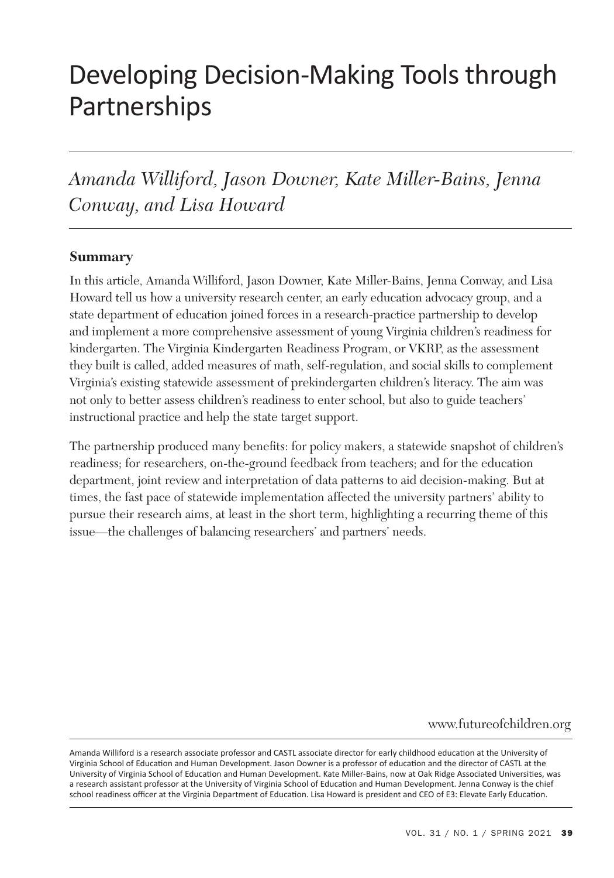# Developing Decision-Making Tools through Partnerships

*Amanda Williford, Jason Downer, Kate Miller-Bains, Jenna Conway, and Lisa Howard*

#### **Summary**

In this article, Amanda Williford, Jason Downer, Kate Miller-Bains, Jenna Conway, and Lisa Howard tell us how a university research center, an early education advocacy group, and a state department of education joined forces in a research-practice partnership to develop and implement a more comprehensive assessment of young Virginia children's readiness for kindergarten. The Virginia Kindergarten Readiness Program, or VKRP, as the assessment they built is called, added measures of math, self-regulation, and social skills to complement Virginia's existing statewide assessment of prekindergarten children's literacy. The aim was not only to better assess children's readiness to enter school, but also to guide teachers' instructional practice and help the state target support.

The partnership produced many benefits: for policy makers, a statewide snapshot of children's readiness; for researchers, on-the-ground feedback from teachers; and for the education department, joint review and interpretation of data patterns to aid decision-making. But at times, the fast pace of statewide implementation affected the university partners' ability to pursue their research aims, at least in the short term, highlighting a recurring theme of this issue—the challenges of balancing researchers' and partners' needs.

www.futureofchildren.org

Amanda Williford is a research associate professor and CASTL associate director for early childhood education at the University of Virginia School of Education and Human Development. Jason Downer is a professor of education and the director of CASTL at the University of Virginia School of Education and Human Development. Kate Miller-Bains, now at Oak Ridge Associated Universities, was a research assistant professor at the University of Virginia School of Education and Human Development. Jenna Conway is the chief school readiness officer at the Virginia Department of Education. Lisa Howard is president and CEO of E3: Elevate Early Education.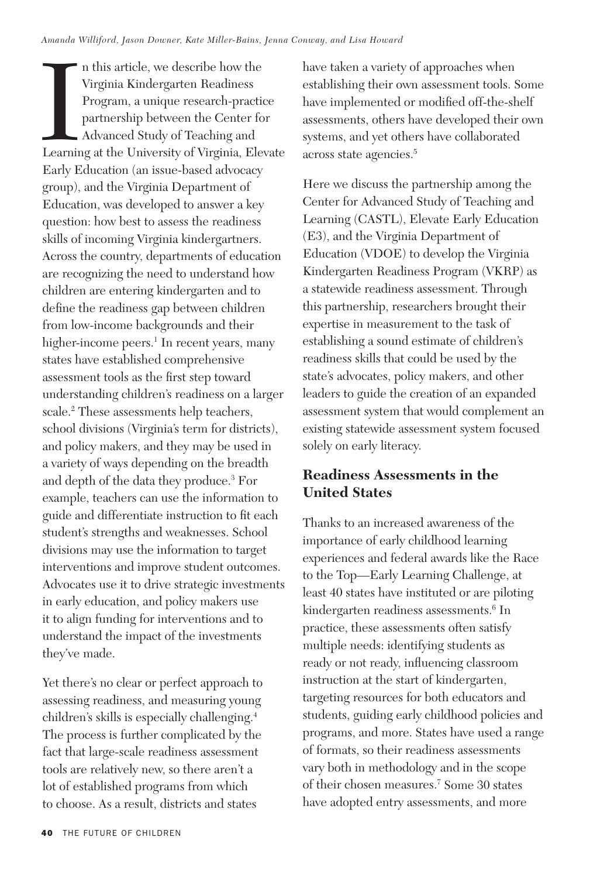In this article, we describe how the<br>Virginia Kindergarten Readiness<br>Program, a unique research-practice<br>partnership between the Center for<br>Advanced Study of Teaching and<br>Learning at the University of Virginia, Elevate n this article, we describe how the Virginia Kindergarten Readiness Program, a unique research-practice partnership between the Center for Advanced Study of Teaching and Early Education (an issue-based advocacy group), and the Virginia Department of Education, was developed to answer a key question: how best to assess the readiness skills of incoming Virginia kindergartners. Across the country, departments of education are recognizing the need to understand how children are entering kindergarten and to define the readiness gap between children from low-income backgrounds and their higher-income peers.<sup>1</sup> In recent years, many states have established comprehensive assessment tools as the first step toward understanding children's readiness on a larger scale.2 These assessments help teachers, school divisions (Virginia's term for districts), and policy makers, and they may be used in a variety of ways depending on the breadth and depth of the data they produce.3 For example, teachers can use the information to guide and differentiate instruction to fit each student's strengths and weaknesses. School divisions may use the information to target interventions and improve student outcomes. Advocates use it to drive strategic investments in early education, and policy makers use it to align funding for interventions and to understand the impact of the investments they've made.

Yet there's no clear or perfect approach to assessing readiness, and measuring young children's skills is especially challenging.4 The process is further complicated by the fact that large-scale readiness assessment tools are relatively new, so there aren't a lot of established programs from which to choose. As a result, districts and states

have taken a variety of approaches when establishing their own assessment tools. Some have implemented or modified off-the-shelf assessments, others have developed their own systems, and yet others have collaborated across state agencies.5

Here we discuss the partnership among the Center for Advanced Study of Teaching and Learning (CASTL), Elevate Early Education (E3), and the Virginia Department of Education (VDOE) to develop the Virginia Kindergarten Readiness Program (VKRP) as a statewide readiness assessment. Through this partnership, researchers brought their expertise in measurement to the task of establishing a sound estimate of children's readiness skills that could be used by the state's advocates, policy makers, and other leaders to guide the creation of an expanded assessment system that would complement an existing statewide assessment system focused solely on early literacy.

## **Readiness Assessments in the United States**

Thanks to an increased awareness of the importance of early childhood learning experiences and federal awards like the Race to the Top—Early Learning Challenge, at least 40 states have instituted or are piloting kindergarten readiness assessments.6 In practice, these assessments often satisfy multiple needs: identifying students as ready or not ready, influencing classroom instruction at the start of kindergarten, targeting resources for both educators and students, guiding early childhood policies and programs, and more. States have used a range of formats, so their readiness assessments vary both in methodology and in the scope of their chosen measures.7 Some 30 states have adopted entry assessments, and more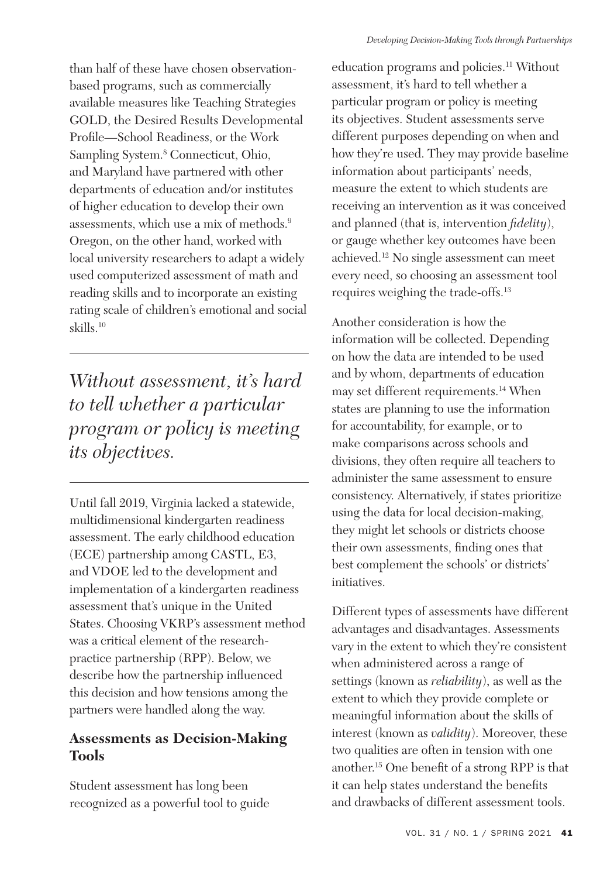than half of these have chosen observationbased programs, such as commercially available measures like Teaching Strategies GOLD, the Desired Results Developmental Profile—School Readiness, or the Work Sampling System.8 Connecticut, Ohio, and Maryland have partnered with other departments of education and/or institutes of higher education to develop their own assessments, which use a mix of methods.9 Oregon, on the other hand, worked with local university researchers to adapt a widely used computerized assessment of math and reading skills and to incorporate an existing rating scale of children's emotional and social skills.10

*Without assessment, it's hard to tell whether a particular program or policy is meeting its objectives.*

Until fall 2019, Virginia lacked a statewide, multidimensional kindergarten readiness assessment. The early childhood education (ECE) partnership among CASTL, E3, and VDOE led to the development and implementation of a kindergarten readiness assessment that's unique in the United States. Choosing VKRP's assessment method was a critical element of the researchpractice partnership (RPP). Below, we describe how the partnership influenced this decision and how tensions among the partners were handled along the way.

## **Assessments as Decision-Making Tools**

Student assessment has long been recognized as a powerful tool to guide education programs and policies.<sup>11</sup> Without assessment, it's hard to tell whether a particular program or policy is meeting its objectives. Student assessments serve different purposes depending on when and how they're used. They may provide baseline information about participants' needs, measure the extent to which students are receiving an intervention as it was conceived and planned (that is, intervention *fidelity*), or gauge whether key outcomes have been achieved.12 No single assessment can meet every need, so choosing an assessment tool requires weighing the trade-offs.13

Another consideration is how the information will be collected. Depending on how the data are intended to be used and by whom, departments of education may set different requirements.14 When states are planning to use the information for accountability, for example, or to make comparisons across schools and divisions, they often require all teachers to administer the same assessment to ensure consistency. Alternatively, if states prioritize using the data for local decision-making, they might let schools or districts choose their own assessments, finding ones that best complement the schools' or districts' initiatives.

Different types of assessments have different advantages and disadvantages. Assessments vary in the extent to which they're consistent when administered across a range of settings (known as *reliability*), as well as the extent to which they provide complete or meaningful information about the skills of interest (known as *validity*). Moreover, these two qualities are often in tension with one another.15 One benefit of a strong RPP is that it can help states understand the benefits and drawbacks of different assessment tools.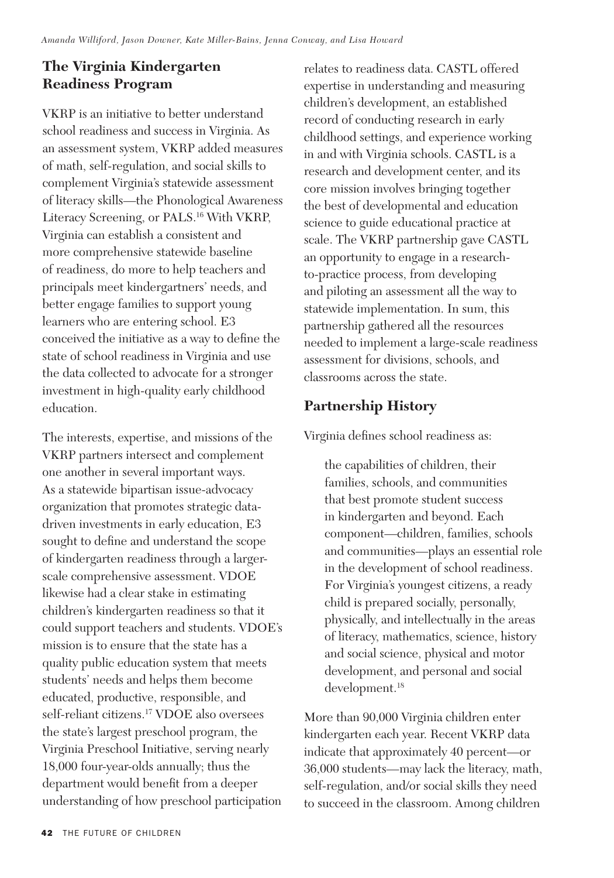## **The Virginia Kindergarten Readiness Program**

VKRP is an initiative to better understand school readiness and success in Virginia. As an assessment system, VKRP added measures of math, self-regulation, and social skills to complement Virginia's statewide assessment of literacy skills—the Phonological Awareness Literacy Screening, or PALS.16 With VKRP, Virginia can establish a consistent and more comprehensive statewide baseline of readiness, do more to help teachers and principals meet kindergartners' needs, and better engage families to support young learners who are entering school. E3 conceived the initiative as a way to define the state of school readiness in Virginia and use the data collected to advocate for a stronger investment in high-quality early childhood education.

The interests, expertise, and missions of the VKRP partners intersect and complement one another in several important ways. As a statewide bipartisan issue-advocacy organization that promotes strategic datadriven investments in early education, E3 sought to define and understand the scope of kindergarten readiness through a largerscale comprehensive assessment. VDOE likewise had a clear stake in estimating children's kindergarten readiness so that it could support teachers and students. VDOE's mission is to ensure that the state has a quality public education system that meets students' needs and helps them become educated, productive, responsible, and self-reliant citizens.17 VDOE also oversees the state's largest preschool program, the Virginia Preschool Initiative, serving nearly 18,000 four-year-olds annually; thus the department would benefit from a deeper understanding of how preschool participation

relates to readiness data. CASTL offered expertise in understanding and measuring children's development, an established record of conducting research in early childhood settings, and experience working in and with Virginia schools. CASTL is a research and development center, and its core mission involves bringing together the best of developmental and education science to guide educational practice at scale. The VKRP partnership gave CASTL an opportunity to engage in a researchto-practice process, from developing and piloting an assessment all the way to statewide implementation. In sum, this partnership gathered all the resources needed to implement a large-scale readiness assessment for divisions, schools, and classrooms across the state.

## **Partnership History**

Virginia defines school readiness as:

the capabilities of children, their families, schools, and communities that best promote student success in kindergarten and beyond. Each component—children, families, schools and communities—plays an essential role in the development of school readiness. For Virginia's youngest citizens, a ready child is prepared socially, personally, physically, and intellectually in the areas of literacy, mathematics, science, history and social science, physical and motor development, and personal and social development.18

More than 90,000 Virginia children enter kindergarten each year. Recent VKRP data indicate that approximately 40 percent—or 36,000 students—may lack the literacy, math, self-regulation, and/or social skills they need to succeed in the classroom. Among children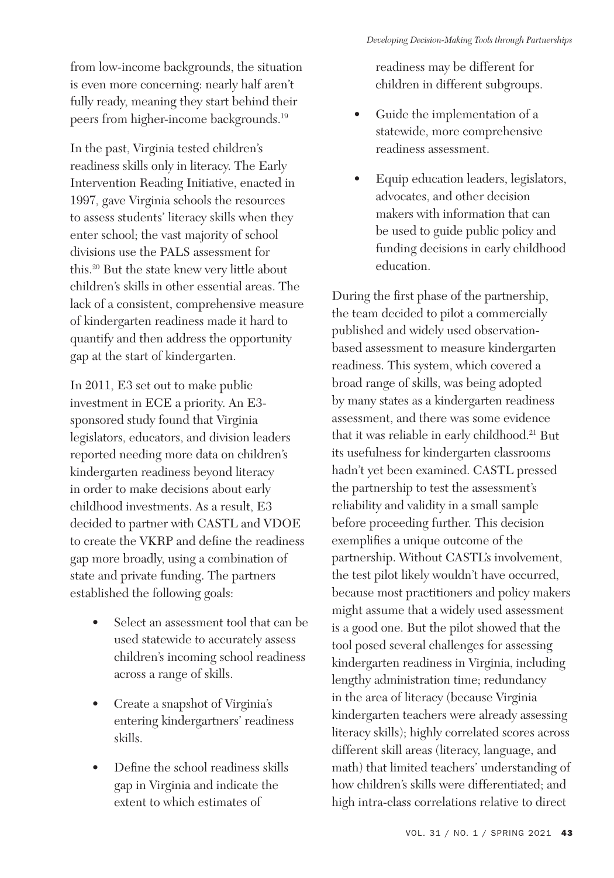from low-income backgrounds, the situation is even more concerning: nearly half aren't fully ready, meaning they start behind their peers from higher-income backgrounds.19

In the past, Virginia tested children's readiness skills only in literacy. The Early Intervention Reading Initiative, enacted in 1997, gave Virginia schools the resources to assess students' literacy skills when they enter school; the vast majority of school divisions use the PALS assessment for this.20 But the state knew very little about children's skills in other essential areas. The lack of a consistent, comprehensive measure of kindergarten readiness made it hard to quantify and then address the opportunity gap at the start of kindergarten.

In 2011, E3 set out to make public investment in ECE a priority. An E3 sponsored study found that Virginia legislators, educators, and division leaders reported needing more data on children's kindergarten readiness beyond literacy in order to make decisions about early childhood investments. As a result, E3 decided to partner with CASTL and VDOE to create the VKRP and define the readiness gap more broadly, using a combination of state and private funding. The partners established the following goals:

- Select an assessment tool that can be used statewide to accurately assess children's incoming school readiness across a range of skills.
- Create a snapshot of Virginia's entering kindergartners' readiness skills.
- Define the school readiness skills gap in Virginia and indicate the extent to which estimates of

readiness may be different for children in different subgroups.

- Guide the implementation of a statewide, more comprehensive readiness assessment.
- Equip education leaders, legislators, advocates, and other decision makers with information that can be used to guide public policy and funding decisions in early childhood education.

During the first phase of the partnership, the team decided to pilot a commercially published and widely used observationbased assessment to measure kindergarten readiness. This system, which covered a broad range of skills, was being adopted by many states as a kindergarten readiness assessment, and there was some evidence that it was reliable in early childhood.21 But its usefulness for kindergarten classrooms hadn't yet been examined. CASTL pressed the partnership to test the assessment's reliability and validity in a small sample before proceeding further. This decision exemplifies a unique outcome of the partnership. Without CASTL's involvement, the test pilot likely wouldn't have occurred, because most practitioners and policy makers might assume that a widely used assessment is a good one. But the pilot showed that the tool posed several challenges for assessing kindergarten readiness in Virginia, including lengthy administration time; redundancy in the area of literacy (because Virginia kindergarten teachers were already assessing literacy skills); highly correlated scores across different skill areas (literacy, language, and math) that limited teachers' understanding of how children's skills were differentiated; and high intra-class correlations relative to direct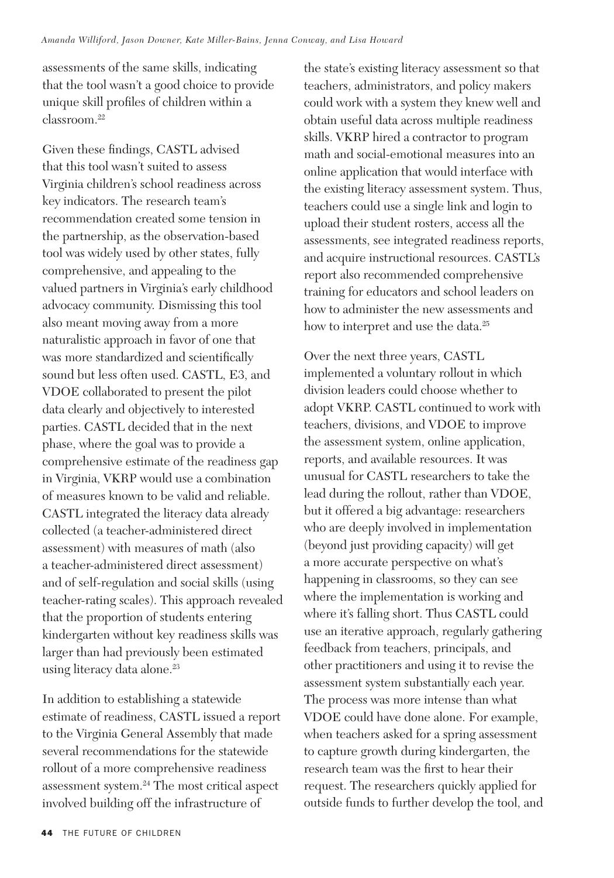assessments of the same skills, indicating that the tool wasn't a good choice to provide unique skill profiles of children within a classroom.22

Given these findings, CASTL advised that this tool wasn't suited to assess Virginia children's school readiness across key indicators. The research team's recommendation created some tension in the partnership, as the observation-based tool was widely used by other states, fully comprehensive, and appealing to the valued partners in Virginia's early childhood advocacy community. Dismissing this tool also meant moving away from a more naturalistic approach in favor of one that was more standardized and scientifically sound but less often used. CASTL, E3, and VDOE collaborated to present the pilot data clearly and objectively to interested parties. CASTL decided that in the next phase, where the goal was to provide a comprehensive estimate of the readiness gap in Virginia, VKRP would use a combination of measures known to be valid and reliable. CASTL integrated the literacy data already collected (a teacher-administered direct assessment) with measures of math (also a teacher-administered direct assessment) and of self-regulation and social skills (using teacher-rating scales). This approach revealed that the proportion of students entering kindergarten without key readiness skills was larger than had previously been estimated using literacy data alone.<sup>23</sup>

In addition to establishing a statewide estimate of readiness, CASTL issued a report to the Virginia General Assembly that made several recommendations for the statewide rollout of a more comprehensive readiness assessment system.24 The most critical aspect involved building off the infrastructure of

the state's existing literacy assessment so that teachers, administrators, and policy makers could work with a system they knew well and obtain useful data across multiple readiness skills. VKRP hired a contractor to program math and social-emotional measures into an online application that would interface with the existing literacy assessment system. Thus, teachers could use a single link and login to upload their student rosters, access all the assessments, see integrated readiness reports, and acquire instructional resources. CASTL's report also recommended comprehensive training for educators and school leaders on how to administer the new assessments and how to interpret and use the data.<sup>25</sup>

Over the next three years, CASTL implemented a voluntary rollout in which division leaders could choose whether to adopt VKRP. CASTL continued to work with teachers, divisions, and VDOE to improve the assessment system, online application, reports, and available resources. It was unusual for CASTL researchers to take the lead during the rollout, rather than VDOE, but it offered a big advantage: researchers who are deeply involved in implementation (beyond just providing capacity) will get a more accurate perspective on what's happening in classrooms, so they can see where the implementation is working and where it's falling short. Thus CASTL could use an iterative approach, regularly gathering feedback from teachers, principals, and other practitioners and using it to revise the assessment system substantially each year. The process was more intense than what VDOE could have done alone. For example, when teachers asked for a spring assessment to capture growth during kindergarten, the research team was the first to hear their request. The researchers quickly applied for outside funds to further develop the tool, and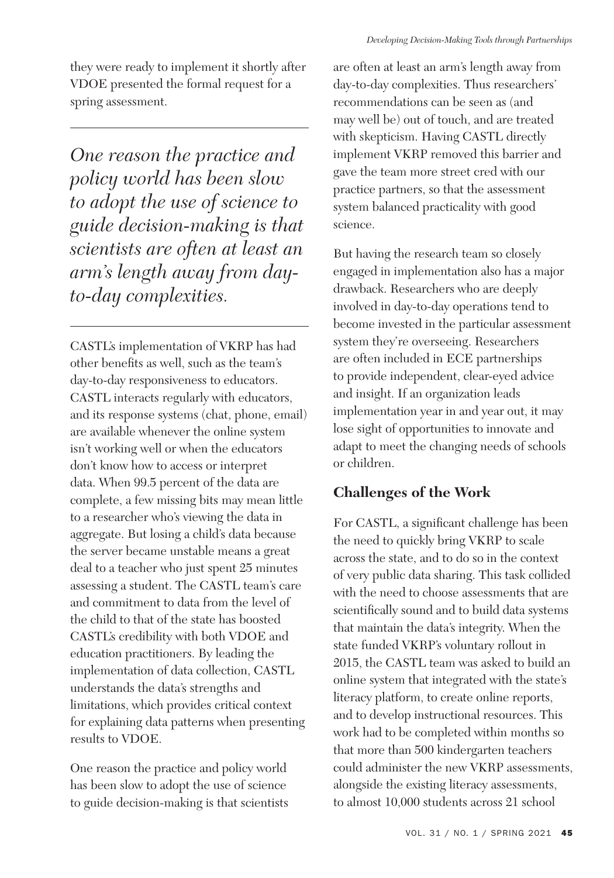*One reason the practice and policy world has been slow to adopt the use of science to guide decision-making is that scientists are often at least an arm's length away from dayto-day complexities.*

spring assessment.

CASTL's implementation of VKRP has had other benefits as well, such as the team's day-to-day responsiveness to educators. CASTL interacts regularly with educators, and its response systems (chat, phone, email) are available whenever the online system isn't working well or when the educators don't know how to access or interpret data. When 99.5 percent of the data are complete, a few missing bits may mean little to a researcher who's viewing the data in aggregate. But losing a child's data because the server became unstable means a great deal to a teacher who just spent 25 minutes assessing a student. The CASTL team's care and commitment to data from the level of the child to that of the state has boosted CASTL's credibility with both VDOE and education practitioners. By leading the implementation of data collection, CASTL understands the data's strengths and limitations, which provides critical context for explaining data patterns when presenting results to VDOE.

One reason the practice and policy world has been slow to adopt the use of science to guide decision-making is that scientists are often at least an arm's length away from day-to-day complexities. Thus researchers' recommendations can be seen as (and may well be) out of touch, and are treated with skepticism. Having CASTL directly implement VKRP removed this barrier and gave the team more street cred with our practice partners, so that the assessment system balanced practicality with good science.

But having the research team so closely engaged in implementation also has a major drawback. Researchers who are deeply involved in day-to-day operations tend to become invested in the particular assessment system they're overseeing. Researchers are often included in ECE partnerships to provide independent, clear-eyed advice and insight. If an organization leads implementation year in and year out, it may lose sight of opportunities to innovate and adapt to meet the changing needs of schools or children.

# **Challenges of the Work**

For CASTL, a significant challenge has been the need to quickly bring VKRP to scale across the state, and to do so in the context of very public data sharing. This task collided with the need to choose assessments that are scientifically sound and to build data systems that maintain the data's integrity. When the state funded VKRP's voluntary rollout in 2015, the CASTL team was asked to build an online system that integrated with the state's literacy platform, to create online reports, and to develop instructional resources. This work had to be completed within months so that more than 500 kindergarten teachers could administer the new VKRP assessments, alongside the existing literacy assessments, to almost 10,000 students across 21 school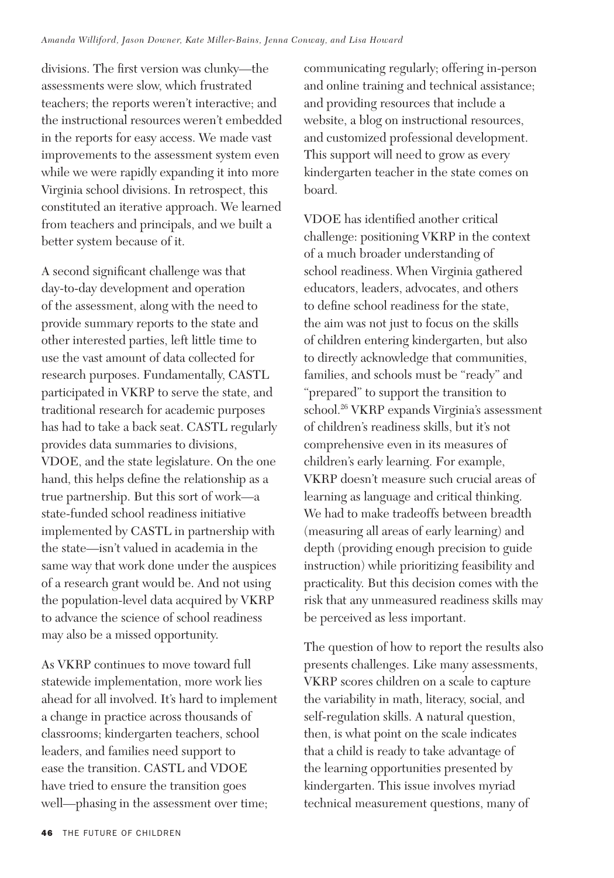divisions. The first version was clunky—the assessments were slow, which frustrated teachers; the reports weren't interactive; and the instructional resources weren't embedded in the reports for easy access. We made vast improvements to the assessment system even while we were rapidly expanding it into more Virginia school divisions. In retrospect, this constituted an iterative approach. We learned from teachers and principals, and we built a better system because of it.

A second significant challenge was that day-to-day development and operation of the assessment, along with the need to provide summary reports to the state and other interested parties, left little time to use the vast amount of data collected for research purposes. Fundamentally, CASTL participated in VKRP to serve the state, and traditional research for academic purposes has had to take a back seat. CASTL regularly provides data summaries to divisions, VDOE, and the state legislature. On the one hand, this helps define the relationship as a true partnership. But this sort of work—a state-funded school readiness initiative implemented by CASTL in partnership with the state—isn't valued in academia in the same way that work done under the auspices of a research grant would be. And not using the population-level data acquired by VKRP to advance the science of school readiness may also be a missed opportunity.

As VKRP continues to move toward full statewide implementation, more work lies ahead for all involved. It's hard to implement a change in practice across thousands of classrooms; kindergarten teachers, school leaders, and families need support to ease the transition. CASTL and VDOE have tried to ensure the transition goes well—phasing in the assessment over time;

communicating regularly; offering in-person and online training and technical assistance; and providing resources that include a website, a blog on instructional resources, and customized professional development. This support will need to grow as every kindergarten teacher in the state comes on board.

VDOE has identified another critical challenge: positioning VKRP in the context of a much broader understanding of school readiness. When Virginia gathered educators, leaders, advocates, and others to define school readiness for the state, the aim was not just to focus on the skills of children entering kindergarten, but also to directly acknowledge that communities, families, and schools must be "ready" and "prepared" to support the transition to school.26 VKRP expands Virginia's assessment of children's readiness skills, but it's not comprehensive even in its measures of children's early learning. For example, VKRP doesn't measure such crucial areas of learning as language and critical thinking. We had to make tradeoffs between breadth (measuring all areas of early learning) and depth (providing enough precision to guide instruction) while prioritizing feasibility and practicality. But this decision comes with the risk that any unmeasured readiness skills may be perceived as less important.

The question of how to report the results also presents challenges. Like many assessments, VKRP scores children on a scale to capture the variability in math, literacy, social, and self-regulation skills. A natural question, then, is what point on the scale indicates that a child is ready to take advantage of the learning opportunities presented by kindergarten. This issue involves myriad technical measurement questions, many of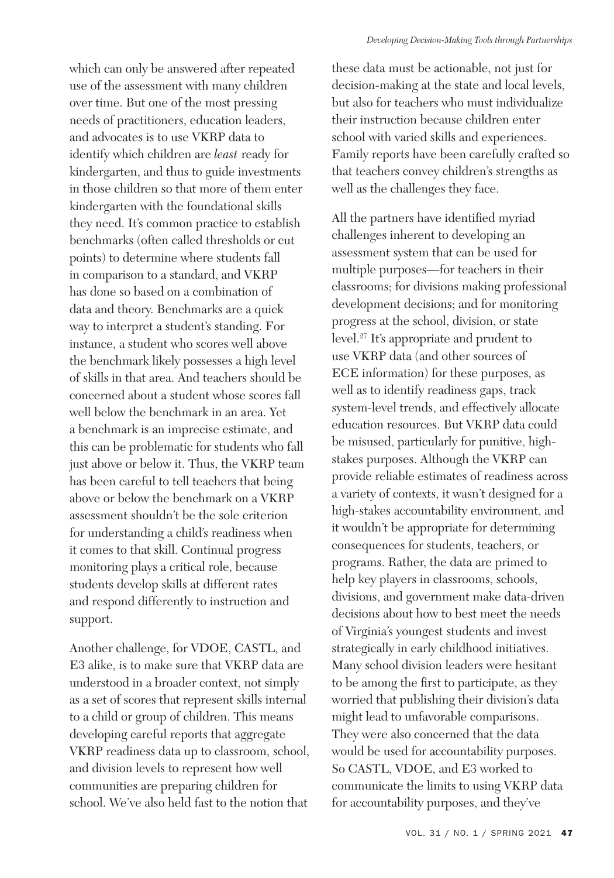which can only be answered after repeated use of the assessment with many children over time. But one of the most pressing needs of practitioners, education leaders, and advocates is to use VKRP data to identify which children are *least* ready for kindergarten, and thus to guide investments in those children so that more of them enter kindergarten with the foundational skills they need. It's common practice to establish benchmarks (often called thresholds or cut points) to determine where students fall in comparison to a standard, and VKRP has done so based on a combination of data and theory. Benchmarks are a quick way to interpret a student's standing. For instance, a student who scores well above the benchmark likely possesses a high level of skills in that area. And teachers should be concerned about a student whose scores fall well below the benchmark in an area. Yet a benchmark is an imprecise estimate, and this can be problematic for students who fall just above or below it. Thus, the VKRP team has been careful to tell teachers that being above or below the benchmark on a VKRP assessment shouldn't be the sole criterion for understanding a child's readiness when it comes to that skill. Continual progress monitoring plays a critical role, because students develop skills at different rates and respond differently to instruction and support.

Another challenge, for VDOE, CASTL, and E3 alike, is to make sure that VKRP data are understood in a broader context, not simply as a set of scores that represent skills internal to a child or group of children. This means developing careful reports that aggregate VKRP readiness data up to classroom, school, and division levels to represent how well communities are preparing children for school. We've also held fast to the notion that

these data must be actionable, not just for decision-making at the state and local levels, but also for teachers who must individualize their instruction because children enter school with varied skills and experiences. Family reports have been carefully crafted so that teachers convey children's strengths as well as the challenges they face.

All the partners have identified myriad challenges inherent to developing an assessment system that can be used for multiple purposes—for teachers in their classrooms; for divisions making professional development decisions; and for monitoring progress at the school, division, or state level.27 It's appropriate and prudent to use VKRP data (and other sources of ECE information) for these purposes, as well as to identify readiness gaps, track system-level trends, and effectively allocate education resources. But VKRP data could be misused, particularly for punitive, highstakes purposes. Although the VKRP can provide reliable estimates of readiness across a variety of contexts, it wasn't designed for a high-stakes accountability environment, and it wouldn't be appropriate for determining consequences for students, teachers, or programs. Rather, the data are primed to help key players in classrooms, schools, divisions, and government make data-driven decisions about how to best meet the needs of Virginia's youngest students and invest strategically in early childhood initiatives. Many school division leaders were hesitant to be among the first to participate, as they worried that publishing their division's data might lead to unfavorable comparisons. They were also concerned that the data would be used for accountability purposes. So CASTL, VDOE, and E3 worked to communicate the limits to using VKRP data for accountability purposes, and they've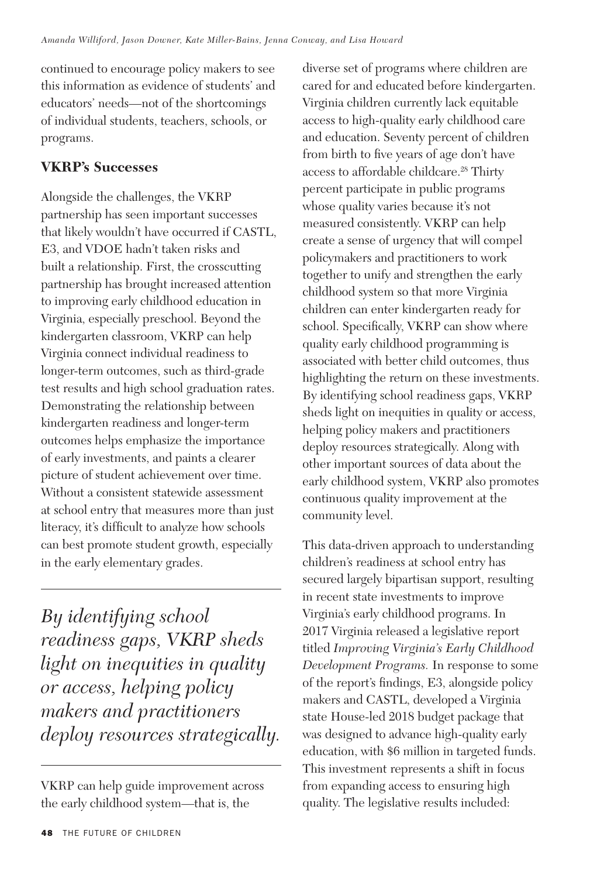continued to encourage policy makers to see this information as evidence of students' and educators' needs—not of the shortcomings of individual students, teachers, schools, or programs.

## **VKRP's Successes**

Alongside the challenges, the VKRP partnership has seen important successes that likely wouldn't have occurred if CASTL, E3, and VDOE hadn't taken risks and built a relationship. First, the crosscutting partnership has brought increased attention to improving early childhood education in Virginia, especially preschool. Beyond the kindergarten classroom, VKRP can help Virginia connect individual readiness to longer-term outcomes, such as third-grade test results and high school graduation rates. Demonstrating the relationship between kindergarten readiness and longer-term outcomes helps emphasize the importance of early investments, and paints a clearer picture of student achievement over time. Without a consistent statewide assessment at school entry that measures more than just literacy, it's difficult to analyze how schools can best promote student growth, especially in the early elementary grades.

*By identifying school readiness gaps, VKRP sheds light on inequities in quality or access, helping policy makers and practitioners deploy resources strategically.* diverse set of programs where children are cared for and educated before kindergarten. Virginia children currently lack equitable access to high-quality early childhood care and education. Seventy percent of children from birth to five years of age don't have access to affordable childcare.<sup>28</sup> Thirty percent participate in public programs whose quality varies because it's not measured consistently. VKRP can help create a sense of urgency that will compel policymakers and practitioners to work together to unify and strengthen the early childhood system so that more Virginia children can enter kindergarten ready for school. Specifically, VKRP can show where quality early childhood programming is associated with better child outcomes, thus highlighting the return on these investments. By identifying school readiness gaps, VKRP sheds light on inequities in quality or access, helping policy makers and practitioners deploy resources strategically. Along with other important sources of data about the early childhood system, VKRP also promotes continuous quality improvement at the community level.

This data-driven approach to understanding children's readiness at school entry has secured largely bipartisan support, resulting in recent state investments to improve Virginia's early childhood programs. In 2017 Virginia released a legislative report titled *Improving Virginia's Early Childhood Development Programs.* In response to some of the report's findings, E3, alongside policy makers and CASTL, developed a Virginia state House-led 2018 budget package that was designed to advance high-quality early education, with \$6 million in targeted funds. This investment represents a shift in focus from expanding access to ensuring high quality. The legislative results included:

VKRP can help guide improvement across the early childhood system—that is, the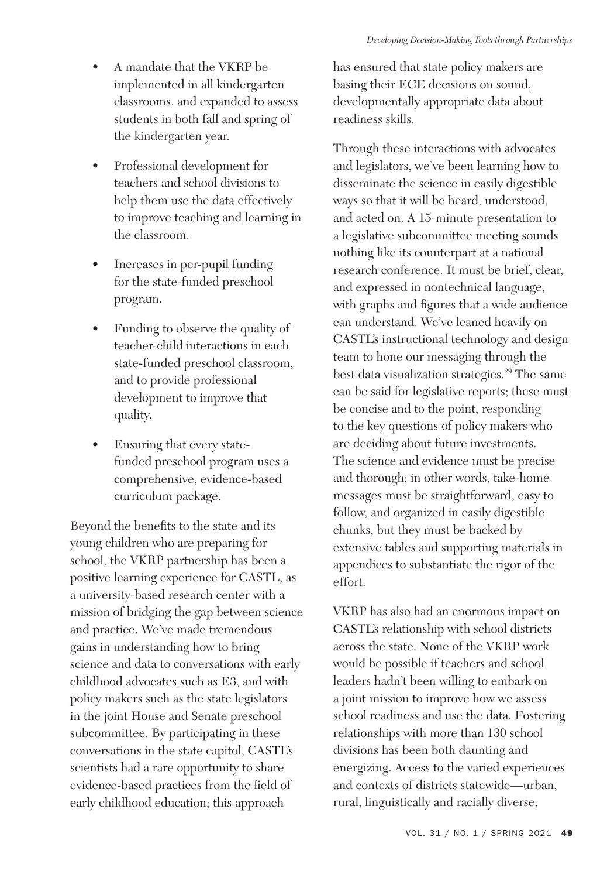- A mandate that the VKRP be implemented in all kindergarten classrooms, and expanded to assess students in both fall and spring of the kindergarten year.
- Professional development for teachers and school divisions to help them use the data effectively to improve teaching and learning in the classroom.
- Increases in per-pupil funding for the state-funded preschool program.
- Funding to observe the quality of teacher-child interactions in each state-funded preschool classroom, and to provide professional development to improve that quality.
- Ensuring that every statefunded preschool program uses a comprehensive, evidence-based curriculum package.

Beyond the benefits to the state and its young children who are preparing for school, the VKRP partnership has been a positive learning experience for CASTL, as a university-based research center with a mission of bridging the gap between science and practice. We've made tremendous gains in understanding how to bring science and data to conversations with early childhood advocates such as E3, and with policy makers such as the state legislators in the joint House and Senate preschool subcommittee. By participating in these conversations in the state capitol, CASTL's scientists had a rare opportunity to share evidence-based practices from the field of early childhood education; this approach

has ensured that state policy makers are basing their ECE decisions on sound, developmentally appropriate data about readiness skills.

Through these interactions with advocates and legislators, we've been learning how to disseminate the science in easily digestible ways so that it will be heard, understood, and acted on. A 15-minute presentation to a legislative subcommittee meeting sounds nothing like its counterpart at a national research conference. It must be brief, clear, and expressed in nontechnical language, with graphs and figures that a wide audience can understand. We've leaned heavily on CASTL's instructional technology and design team to hone our messaging through the best data visualization strategies.<sup>29</sup> The same can be said for legislative reports; these must be concise and to the point, responding to the key questions of policy makers who are deciding about future investments. The science and evidence must be precise and thorough; in other words, take-home messages must be straightforward, easy to follow, and organized in easily digestible chunks, but they must be backed by extensive tables and supporting materials in appendices to substantiate the rigor of the effort.

VKRP has also had an enormous impact on CASTL's relationship with school districts across the state. None of the VKRP work would be possible if teachers and school leaders hadn't been willing to embark on a joint mission to improve how we assess school readiness and use the data. Fostering relationships with more than 130 school divisions has been both daunting and energizing. Access to the varied experiences and contexts of districts statewide—urban, rural, linguistically and racially diverse,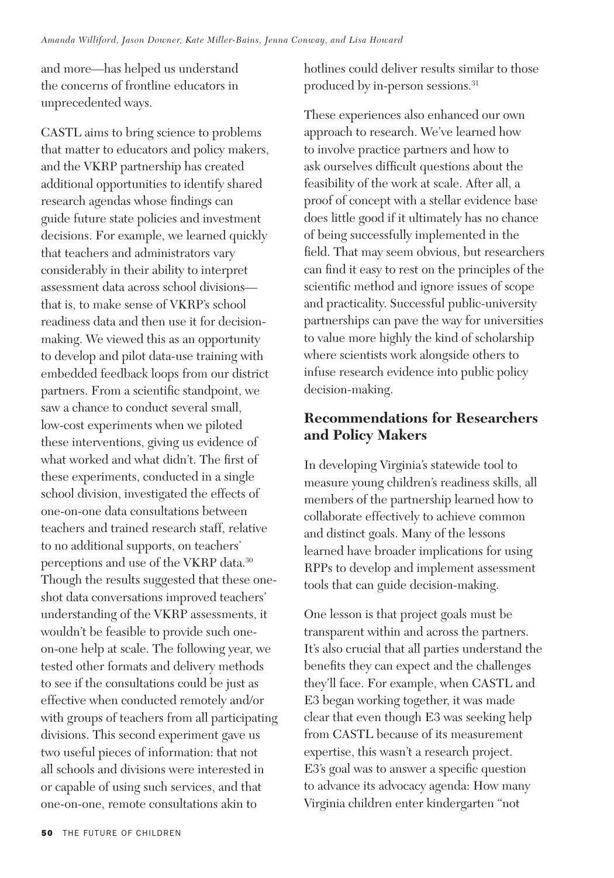and more—has helped us understand the concerns of frontline educators in unprecedented ways.

CASTL aims to bring science to problems that matter to educators and policy makers, and the VKRP partnership has created additional opportunities to identify shared research agendas whose findings can guide future state policies and investment decisions. For example, we learned quickly that teachers and administrators vary considerably in their ability to interpret assessment data across school divisions that is, to make sense of VKRP's school readiness data and then use it for decisionmaking. We viewed this as an opportunity to develop and pilot data-use training with embedded feedback loops from our district partners. From a scientific standpoint, we saw a chance to conduct several small, low-cost experiments when we piloted these interventions, giving us evidence of what worked and what didn't. The first of these experiments, conducted in a single school division, investigated the effects of one-on-one data consultations between teachers and trained research staff, relative to no additional supports, on teachers' perceptions and use of the VKRP data.<sup>30</sup> Though the results suggested that these oneshot data conversations improved teachers' understanding of the VKRP assessments, it wouldn't be feasible to provide such oneon-one help at scale. The following year, we tested other formats and delivery methods to see if the consultations could be just as effective when conducted remotely and/or with groups of teachers from all participating divisions. This second experiment gave us two useful pieces of information: that not all schools and divisions were interested in or capable of using such services, and that one-on-one, remote consultations akin to

hotlines could deliver results similar to those produced by in-person sessions.<sup>31</sup>

These experiences also enhanced our own approach to research. We've learned how to involve practice partners and how to ask ourselves difficult questions about the feasibility of the work at scale. After all, a proof of concept with a stellar evidence base does little good if it ultimately has no chance of being successfully implemented in the field. That may seem obvious, but researchers can find it easy to rest on the principles of the scientific method and ignore issues of scope and practicality. Successful public-university partnerships can pave the way for universities to value more highly the kind of scholarship where scientists work alongside others to infuse research evidence into public policy decision-making.

## **Recommendations for Researchers and Policy Makers**

In developing Virginia's statewide tool to measure young children's readiness skills, all members of the partnership learned how to collaborate effectively to achieve common and distinct goals. Many of the lessons learned have broader implications for using RPPs to develop and implement assessment tools that can guide decision-making.

One lesson is that project goals must be transparent within and across the partners. It's also crucial that all parties understand the benefits they can expect and the challenges they'll face. For example, when CASTL and E3 began working together, it was made clear that even though E3 was seeking help from CASTL because of its measurement expertise, this wasn't a research project. E3's goal was to answer a specific question to advance its advocacy agenda: How many Virginia children enter kindergarten "not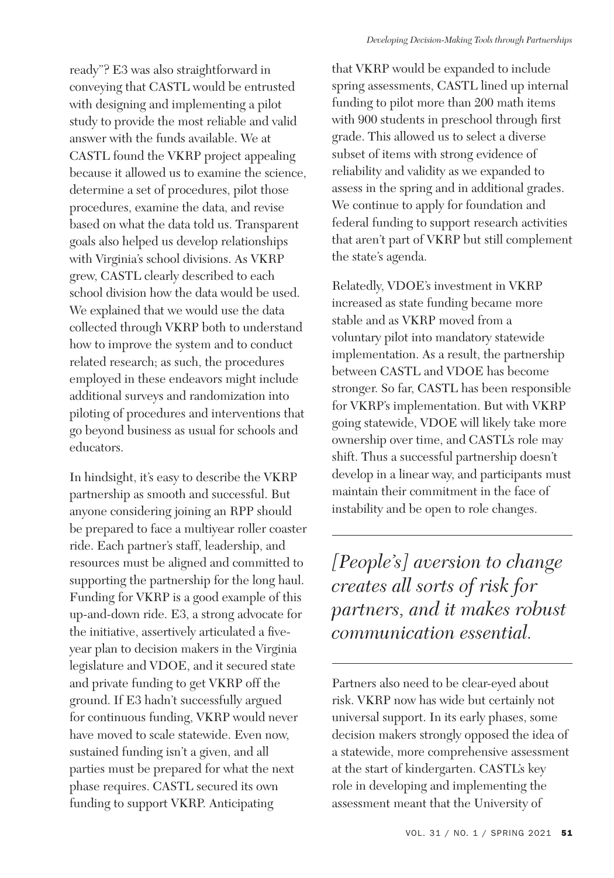ready"? E3 was also straightforward in conveying that CASTL would be entrusted with designing and implementing a pilot study to provide the most reliable and valid answer with the funds available. We at CASTL found the VKRP project appealing because it allowed us to examine the science, determine a set of procedures, pilot those procedures, examine the data, and revise based on what the data told us. Transparent goals also helped us develop relationships with Virginia's school divisions. As VKRP grew, CASTL clearly described to each school division how the data would be used. We explained that we would use the data collected through VKRP both to understand how to improve the system and to conduct related research; as such, the procedures employed in these endeavors might include additional surveys and randomization into piloting of procedures and interventions that go beyond business as usual for schools and educators.

In hindsight, it's easy to describe the VKRP partnership as smooth and successful. But anyone considering joining an RPP should be prepared to face a multiyear roller coaster ride. Each partner's staff, leadership, and resources must be aligned and committed to supporting the partnership for the long haul. Funding for VKRP is a good example of this up-and-down ride. E3, a strong advocate for the initiative, assertively articulated a fiveyear plan to decision makers in the Virginia legislature and VDOE, and it secured state and private funding to get VKRP off the ground. If E3 hadn't successfully argued for continuous funding, VKRP would never have moved to scale statewide. Even now, sustained funding isn't a given, and all parties must be prepared for what the next phase requires. CASTL secured its own funding to support VKRP. Anticipating

that VKRP would be expanded to include spring assessments, CASTL lined up internal funding to pilot more than 200 math items with 900 students in preschool through first grade. This allowed us to select a diverse subset of items with strong evidence of reliability and validity as we expanded to assess in the spring and in additional grades. We continue to apply for foundation and federal funding to support research activities that aren't part of VKRP but still complement the state's agenda.

Relatedly, VDOE's investment in VKRP increased as state funding became more stable and as VKRP moved from a voluntary pilot into mandatory statewide implementation. As a result, the partnership between CASTL and VDOE has become stronger. So far, CASTL has been responsible for VKRP's implementation. But with VKRP going statewide, VDOE will likely take more ownership over time, and CASTL's role may shift. Thus a successful partnership doesn't develop in a linear way, and participants must maintain their commitment in the face of instability and be open to role changes.

*[People's] aversion to change creates all sorts of risk for partners, and it makes robust communication essential.*

Partners also need to be clear-eyed about risk. VKRP now has wide but certainly not universal support. In its early phases, some decision makers strongly opposed the idea of a statewide, more comprehensive assessment at the start of kindergarten. CASTL's key role in developing and implementing the assessment meant that the University of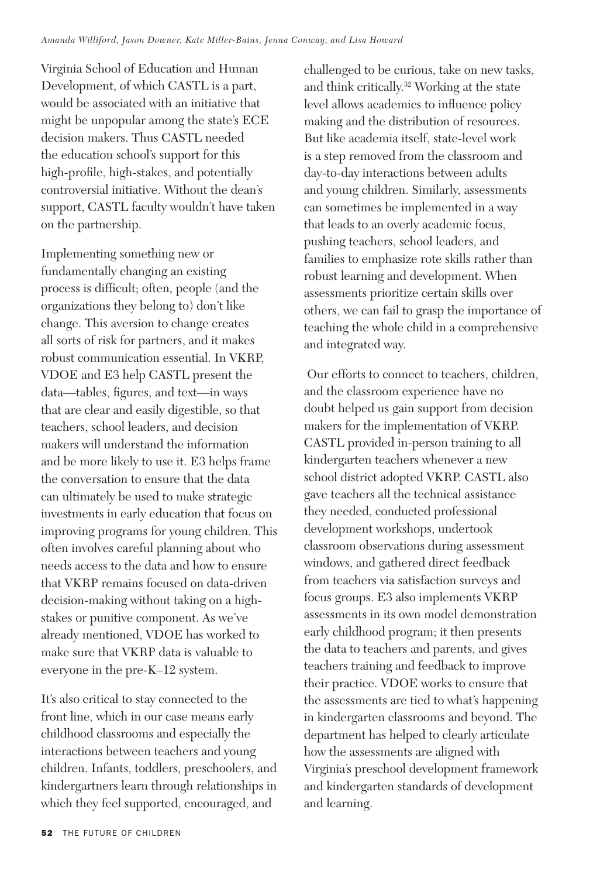Virginia School of Education and Human Development, of which CASTL is a part, would be associated with an initiative that might be unpopular among the state's ECE decision makers. Thus CASTL needed the education school's support for this high-profile, high-stakes, and potentially controversial initiative. Without the dean's support, CASTL faculty wouldn't have taken on the partnership.

Implementing something new or fundamentally changing an existing process is difficult; often, people (and the organizations they belong to) don't like change. This aversion to change creates all sorts of risk for partners, and it makes robust communication essential. In VKRP, VDOE and E3 help CASTL present the data—tables, figures, and text—in ways that are clear and easily digestible, so that teachers, school leaders, and decision makers will understand the information and be more likely to use it. E3 helps frame the conversation to ensure that the data can ultimately be used to make strategic investments in early education that focus on improving programs for young children. This often involves careful planning about who needs access to the data and how to ensure that VKRP remains focused on data-driven decision-making without taking on a highstakes or punitive component. As we've already mentioned, VDOE has worked to make sure that VKRP data is valuable to everyone in the pre-K–12 system.

It's also critical to stay connected to the front line, which in our case means early childhood classrooms and especially the interactions between teachers and young children. Infants, toddlers, preschoolers, and kindergartners learn through relationships in which they feel supported, encouraged, and

challenged to be curious, take on new tasks, and think critically.32 Working at the state level allows academics to influence policy making and the distribution of resources. But like academia itself, state-level work is a step removed from the classroom and day-to-day interactions between adults and young children. Similarly, assessments can sometimes be implemented in a way that leads to an overly academic focus, pushing teachers, school leaders, and families to emphasize rote skills rather than robust learning and development. When assessments prioritize certain skills over others, we can fail to grasp the importance of teaching the whole child in a comprehensive and integrated way.

 Our efforts to connect to teachers, children, and the classroom experience have no doubt helped us gain support from decision makers for the implementation of VKRP. CASTL provided in-person training to all kindergarten teachers whenever a new school district adopted VKRP. CASTL also gave teachers all the technical assistance they needed, conducted professional development workshops, undertook classroom observations during assessment windows, and gathered direct feedback from teachers via satisfaction surveys and focus groups. E3 also implements VKRP assessments in its own model demonstration early childhood program; it then presents the data to teachers and parents, and gives teachers training and feedback to improve their practice. VDOE works to ensure that the assessments are tied to what's happening in kindergarten classrooms and beyond. The department has helped to clearly articulate how the assessments are aligned with Virginia's preschool development framework and kindergarten standards of development and learning.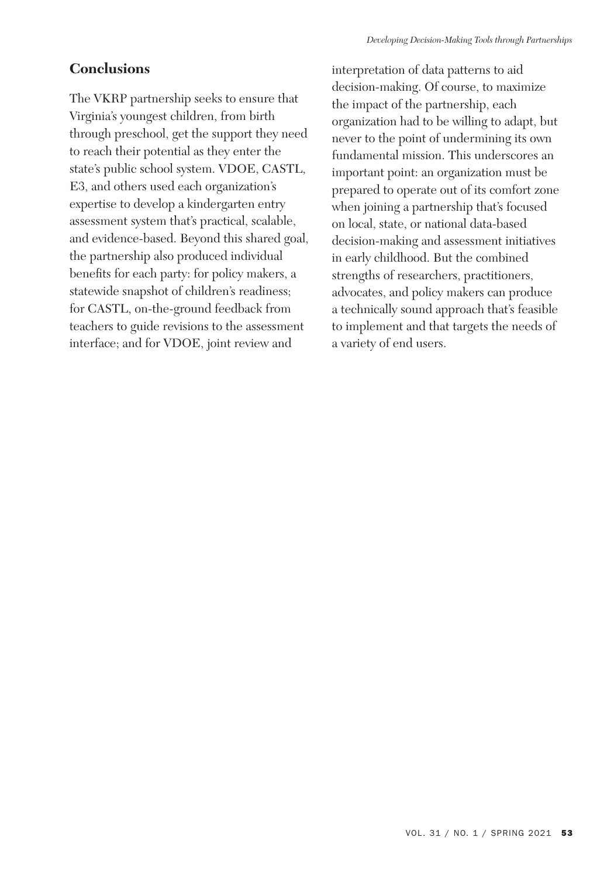## **Conclusions**

The VKRP partnership seeks to ensure that Virginia's youngest children, from birth through preschool, get the support they need to reach their potential as they enter the state's public school system. VDOE, CASTL, E3, and others used each organization's expertise to develop a kindergarten entry assessment system that's practical, scalable, and evidence-based. Beyond this shared goal, the partnership also produced individual benefits for each party: for policy makers, a statewide snapshot of children's readiness; for CASTL, on-the-ground feedback from teachers to guide revisions to the assessment interface; and for VDOE, joint review and

interpretation of data patterns to aid decision-making. Of course, to maximize the impact of the partnership, each organization had to be willing to adapt, but never to the point of undermining its own fundamental mission. This underscores an important point: an organization must be prepared to operate out of its comfort zone when joining a partnership that's focused on local, state, or national data-based decision-making and assessment initiatives in early childhood. But the combined strengths of researchers, practitioners, advocates, and policy makers can produce a technically sound approach that's feasible to implement and that targets the needs of a variety of end users.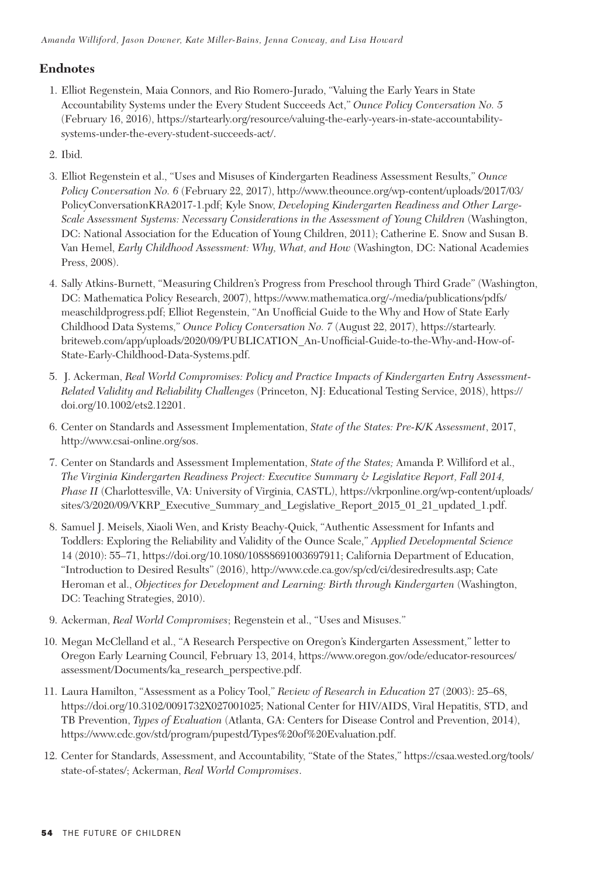### **Endnotes**

- 1. Elliot Regenstein, Maia Connors, and Rio Romero-Jurado, "Valuing the Early Years in State Accountability Systems under the Every Student Succeeds Act," *Ounce Policy Conversation No. 5* (February 16, 2016), https://startearly.org/resource/valuing-the-early-years-in-state-accountabilitysystems-under-the-every-student-succeeds-act/.
- 2. Ibid.
- 3. Elliot Regenstein et al., "Uses and Misuses of Kindergarten Readiness Assessment Results," *Ounce Policy Conversation No. 6* (February 22, 2017), http://www.theounce.org/wp-content/uploads/2017/03/ PolicyConversationKRA2017-1.pdf; Kyle Snow, *Developing Kindergarten Readiness and Other Large-Scale Assessment Systems: Necessary Considerations in the Assessment of Young Children* (Washington, DC: National Association for the Education of Young Children, 2011); Catherine E. Snow and Susan B. Van Hemel, *Early Childhood Assessment: Why, What, and How* (Washington, DC: National Academies Press, 2008).
- 4. Sally Atkins-Burnett, "Measuring Children's Progress from Preschool through Third Grade" (Washington, DC: Mathematica Policy Research, 2007), https://www.mathematica.org/-/media/publications/pdfs/ measchildprogress.pdf; Elliot Regenstein, "An Unofficial Guide to the Why and How of State Early Childhood Data Systems," *Ounce Policy Conversation No. 7* (August 22, 2017), https://startearly. briteweb.com/app/uploads/2020/09/PUBLICATION\_An-Unofficial-Guide-to-the-Why-and-How-of-State-Early-Childhood-Data-Systems.pdf.
- 5. J. Ackerman, *Real World Compromises: Policy and Practice Impacts of Kindergarten Entry Assessment-Related Validity and Reliability Challenges* (Princeton, NJ: Educational Testing Service, 2018), https:// doi.org/10.1002/ets2.12201.
- 6. Center on Standards and Assessment Implementation, *State of the States: Pre-K/K Assessment*, 2017, http://www.csai-online.org/sos.
- 7. Center on Standards and Assessment Implementation, *State of the States;* Amanda P. Williford et al., *The Virginia Kindergarten Readiness Project: Executive Summary & Legislative Report, Fall 2014, Phase II* (Charlottesville, VA: University of Virginia, CASTL), https://vkrponline.org/wp-content/uploads/ sites/3/2020/09/VKRP\_Executive\_Summary\_and\_Legislative\_Report\_2015\_01\_21\_updated\_1.pdf.
- 8. Samuel J. Meisels, Xiaoli Wen, and Kristy Beachy-Quick, "Authentic Assessment for Infants and Toddlers: Exploring the Reliability and Validity of the Ounce Scale," *Applied Developmental Science*  14 (2010): 55–71, https://doi.org/10.1080/10888691003697911; California Department of Education, "Introduction to Desired Results" (2016), http://www.cde.ca.gov/sp/cd/ci/desiredresults.asp; Cate Heroman et al., *Objectives for Development and Learning: Birth through Kindergarten* (Washington, DC: Teaching Strategies, 2010).
- 9. Ackerman, *Real World Compromises*; Regenstein et al., "Uses and Misuses."
- 10. Megan McClelland et al., "A Research Perspective on Oregon's Kindergarten Assessment," letter to Oregon Early Learning Council, February 13, 2014, https://www.oregon.gov/ode/educator-resources/ assessment/Documents/ka\_research\_perspective.pdf.
- 11. Laura Hamilton, "Assessment as a Policy Tool," *Review of Research in Education* 27 (2003): 25–68, https://doi.org/10.3102/0091732X027001025; National Center for HIV/AIDS, Viral Hepatitis, STD, and TB Prevention, *Types of Evaluation* (Atlanta, GA: Centers for Disease Control and Prevention, 2014), https://www.cdc.gov/std/program/pupestd/Types%20of%20Evaluation.pdf.
- 12. Center for Standards, Assessment, and Accountability, "State of the States," https://csaa.wested.org/tools/ state-of-states/; Ackerman, *Real World Compromises*.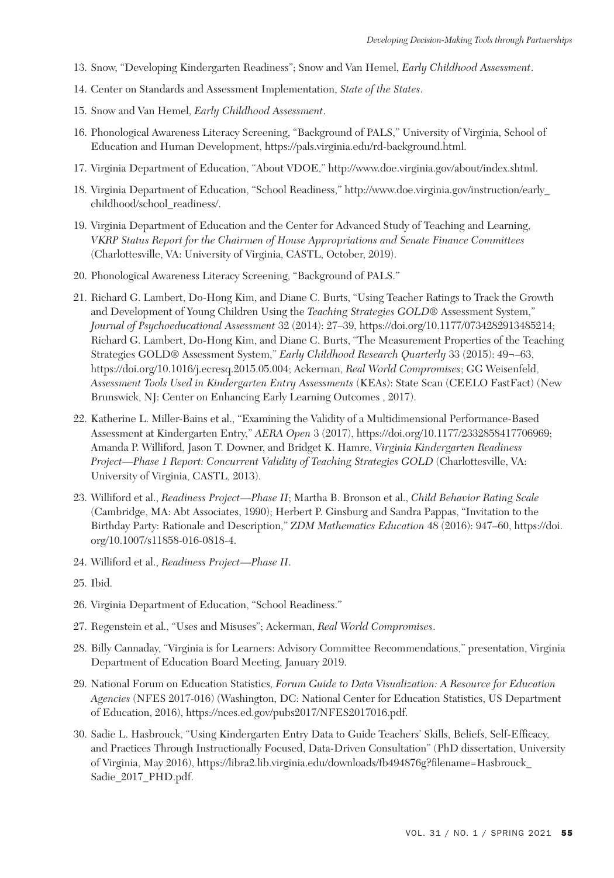- 13. Snow, "Developing Kindergarten Readiness"; Snow and Van Hemel, *Early Childhood Assessment*.
- 14. Center on Standards and Assessment Implementation, *State of the States*.
- 15. Snow and Van Hemel, *Early Childhood Assessment*.
- 16. Phonological Awareness Literacy Screening, "Background of PALS," University of Virginia, School of Education and Human Development, https://pals.virginia.edu/rd-background.html.
- 17. Virginia Department of Education, "About VDOE," http://www.doe.virginia.gov/about/index.shtml.
- 18. Virginia Department of Education, "School Readiness," http://www.doe.virginia.gov/instruction/early\_ childhood/school\_readiness/.
- 19. Virginia Department of Education and the Center for Advanced Study of Teaching and Learning, *VKRP Status Report for the Chairmen of House Appropriations and Senate Finance Committees*  (Charlottesville, VA: University of Virginia, CASTL, October, 2019).
- 20. Phonological Awareness Literacy Screening, "Background of PALS."
- 21. Richard G. Lambert, Do-Hong Kim, and Diane C. Burts, "Using Teacher Ratings to Track the Growth and Development of Young Children Using the *Teaching Strategies GOLD®* Assessment System," *Journal of Psychoeducational Assessment* 32 (2014): 27–39, https://doi.org/10.1177/0734282913485214; Richard G. Lambert, Do-Hong Kim, and Diane C. Burts, "The Measurement Properties of the Teaching Strategies GOLD® Assessment System," *Early Childhood Research Quarterly* 33 (2015): 49¬–63, https://doi.org/10.1016/j.ecresq.2015.05.004; Ackerman, *Real World Compromises*; GG Weisenfeld, *Assessment Tools Used in Kindergarten Entry Assessments* (KEAs): State Scan (CEELO FastFact) (New Brunswick, NJ: Center on Enhancing Early Learning Outcomes , 2017).
- 22. Katherine L. Miller-Bains et al., "Examining the Validity of a Multidimensional Performance-Based Assessment at Kindergarten Entry," *AERA Open* 3 (2017), https://doi.org/10.1177/2332858417706969; Amanda P. Williford, Jason T. Downer, and Bridget K. Hamre, *Virginia Kindergarten Readiness Project—Phase 1 Report: Concurrent Validity of Teaching Strategies GOLD* (Charlottesville, VA: University of Virginia, CASTL, 2013).
- 23. Williford et al., *Readiness Project—Phase II*; Martha B. Bronson et al., *Child Behavior Rating Scale* (Cambridge, MA: Abt Associates, 1990); Herbert P. Ginsburg and Sandra Pappas, "Invitation to the Birthday Party: Rationale and Description," *ZDM Mathematics Education* 48 (2016): 947–60, https://doi. org/10.1007/s11858-016-0818-4.
- 24. Williford et al., *Readiness Project—Phase II*.
- 25. Ibid.
- 26. Virginia Department of Education, "School Readiness."
- 27. Regenstein et al., "Uses and Misuses"; Ackerman, *Real World Compromises*.
- 28. Billy Cannaday, "Virginia is for Learners: Advisory Committee Recommendations," presentation, Virginia Department of Education Board Meeting, January 2019.
- 29. National Forum on Education Statistics, *Forum Guide to Data Visualization: A Resource for Education Agencies* (NFES 2017-016) (Washington, DC: National Center for Education Statistics, US Department of Education, 2016), https://nces.ed.gov/pubs2017/NFES2017016.pdf.
- 30. Sadie L. Hasbrouck, "Using Kindergarten Entry Data to Guide Teachers' Skills, Beliefs, Self-Efficacy, and Practices Through Instructionally Focused, Data-Driven Consultation" (PhD dissertation, University of Virginia, May 2016), https://libra2.lib.virginia.edu/downloads/fb494876g?filename=Hasbrouck\_ Sadie\_2017\_PHD.pdf.